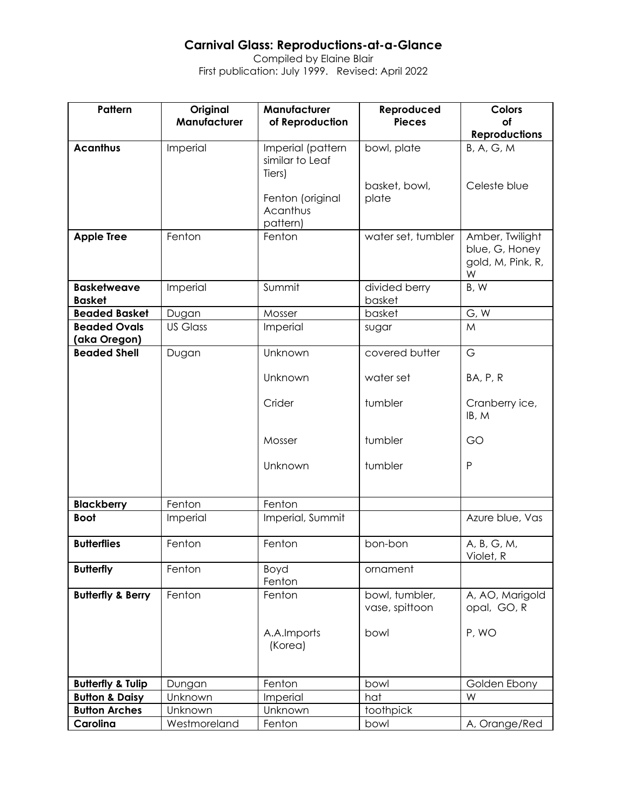### **Carnival Glass: Reproductions-at-a-Glance**

Compiled by Elaine Blair First publication: July 1999. Revised: April 2022

| Pattern                             | Original        | Manufacturer                                   | Reproduced                       | <b>Colors</b>                                               |
|-------------------------------------|-----------------|------------------------------------------------|----------------------------------|-------------------------------------------------------------|
|                                     | Manufacturer    | of Reproduction                                | <b>Pieces</b>                    | of<br><b>Reproductions</b>                                  |
| <b>Acanthus</b>                     | Imperial        | Imperial (pattern<br>similar to Leaf<br>Tiers) | bowl, plate                      | <b>B, A, G, M</b>                                           |
|                                     |                 | Fenton (original<br>Acanthus<br>pattern)       | basket, bowl,<br>plate           | Celeste blue                                                |
| <b>Apple Tree</b>                   | Fenton          | Fenton                                         | water set, tumbler               | Amber, Twilight<br>blue, G, Honey<br>gold, M, Pink, R,<br>W |
| <b>Basketweave</b><br><b>Basket</b> | Imperial        | Summit                                         | divided berry<br>basket          | B, W                                                        |
| <b>Beaded Basket</b>                | Dugan           | Mosser                                         | basket                           | G, W                                                        |
| <b>Beaded Ovals</b><br>(aka Oregon) | <b>US Glass</b> | Imperial                                       | sugar                            | M                                                           |
| <b>Beaded Shell</b>                 | Dugan           | Unknown                                        | covered butter                   | G                                                           |
|                                     |                 | Unknown                                        | water set                        | BA, P, R                                                    |
|                                     |                 | Crider                                         | tumbler                          | Cranberry ice,<br>IB, M                                     |
|                                     |                 | Mosser                                         | tumbler                          | GO                                                          |
|                                     |                 | Unknown                                        | tumbler                          | P                                                           |
| <b>Blackberry</b>                   | Fenton          | Fenton                                         |                                  |                                                             |
| <b>Boot</b>                         | Imperial        | Imperial, Summit                               |                                  | Azure blue, Vas                                             |
| <b>Butterflies</b>                  | Fenton          | Fenton                                         | bon-bon                          | A, B, G, M,<br>Violet, R                                    |
| <b>Butterfly</b>                    | Fenton          | Boyd<br>Fenton                                 | ornament                         |                                                             |
| <b>Butterfly &amp; Berry</b>        | Fenton          | Fenton                                         | bowl, tumbler,<br>vase, spittoon | A, AO, Marigold<br>opal, GO, R                              |
|                                     |                 | A.A.Imports<br>(Korea)                         | bowl                             | P, WO                                                       |
| <b>Butterfly &amp; Tulip</b>        | Dungan          | Fenton                                         | bowl                             | Golden Ebony                                                |
| <b>Button &amp; Daisy</b>           | Unknown         | Imperial                                       | hat                              | W                                                           |
| <b>Button Arches</b>                | Unknown         | Unknown                                        | toothpick                        |                                                             |
| Carolina                            | Westmoreland    | Fenton                                         | bowl                             | A, Orange/Red                                               |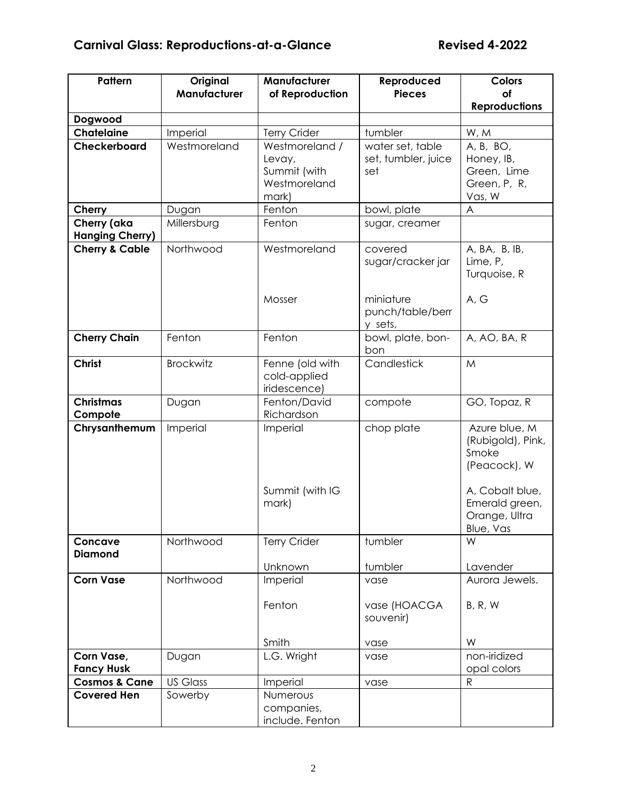| Pattern                               | Original<br>Manufacturer | Manufacturer<br>of Reproduction                                   | Reproduced<br><b>Pieces</b>                    | <b>Colors</b><br>of                                                            |
|---------------------------------------|--------------------------|-------------------------------------------------------------------|------------------------------------------------|--------------------------------------------------------------------------------|
|                                       |                          |                                                                   |                                                | <b>Reproductions</b>                                                           |
| Dogwood                               |                          |                                                                   |                                                |                                                                                |
| <b>Chatelaine</b>                     | Imperial                 | <b>Terry Crider</b>                                               | tumbler                                        | W, M                                                                           |
| Checkerboard                          | Westmoreland             | Westmoreland /<br>Levay,<br>Summit (with<br>Westmoreland<br>mark) | water set, table<br>set, tumbler, juice<br>set | A, B, BO,<br>Honey, IB,<br>Green, Lime<br>Green, P, R,<br>Vas, W               |
| Cherry                                | Dugan                    | Fenton                                                            | bowl, plate                                    | A                                                                              |
| Cherry (aka<br><b>Hanging Cherry)</b> | Millersburg              | Fenton                                                            | sugar, creamer                                 |                                                                                |
| <b>Cherry &amp; Cable</b>             | Northwood                | Westmoreland<br>Mosser                                            | covered<br>sugar/cracker jar<br>miniature      | A, BA, B, IB,<br>Lime, P,<br>Turquoise, R<br>A, G                              |
|                                       |                          |                                                                   | punch/table/berr<br>y sets,                    |                                                                                |
| <b>Cherry Chain</b>                   | Fenton                   | Fenton                                                            | bowl, plate, bon-<br>bon.                      | A, AO, BA, R                                                                   |
| <b>Christ</b>                         | <b>Brockwitz</b>         | Fenne (old with<br>cold-applied<br>iridescence)                   | Candlestick                                    | M                                                                              |
| <b>Christmas</b><br>Compote           | Dugan                    | Fenton/David<br>Richardson                                        | compote                                        | GO, Topaz, R                                                                   |
| Chrysanthemum                         | Imperial                 | Imperial<br>Summit (with IG                                       | chop plate                                     | Azure blue, M<br>(Rubigold), Pink,<br>Smoke<br>(Peacock), W<br>A, Cobalt blue, |
|                                       |                          | mark)                                                             |                                                | Emerald green,<br>Orange, Ultra<br>Blue, Vas                                   |
| Concave                               | Northwood                | <b>Terry Crider</b>                                               | tumbler                                        | W                                                                              |
| <b>Diamond</b>                        |                          | Unknown                                                           | tumbler                                        | Lavender                                                                       |
| <b>Corn Vase</b>                      | Northwood                | Imperial                                                          | vase                                           | Aurora Jewels.                                                                 |
|                                       |                          | Fenton                                                            | vase (HOACGA<br>souvenir)                      | B, R, W                                                                        |
|                                       |                          | Smith                                                             | vase                                           | W                                                                              |
| Corn Vase,<br><b>Fancy Husk</b>       | Dugan                    | L.G. Wright                                                       | vase                                           | non-iridized<br>opal colors                                                    |
| <b>Cosmos &amp; Cane</b>              | <b>US Glass</b>          | Imperial                                                          | vase                                           | ${\sf R}$                                                                      |
| <b>Covered Hen</b>                    | Sowerby                  | Numerous<br>companies,<br>include. Fenton                         |                                                |                                                                                |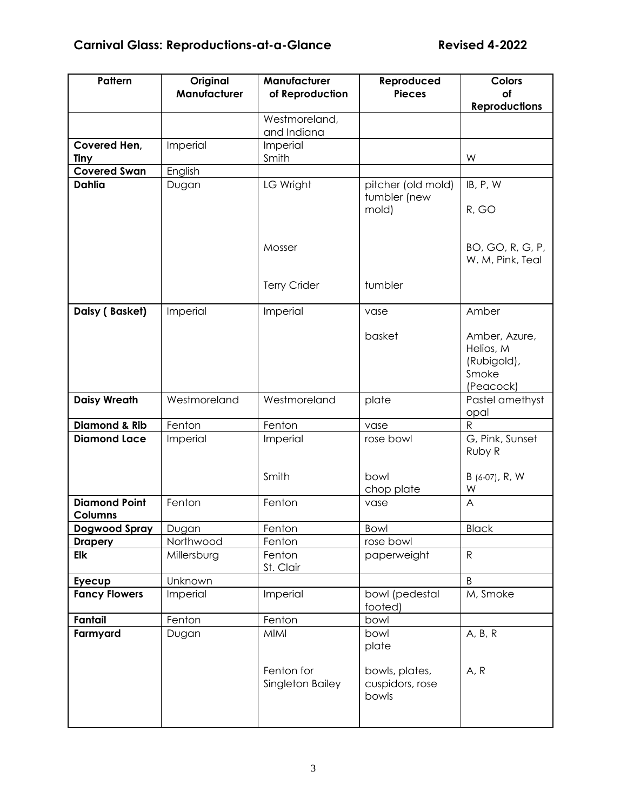| Pattern                                | Original<br>Manufacturer | Manufacturer<br>of Reproduction | Reproduced<br><b>Pieces</b> | <b>Colors</b><br>of        |
|----------------------------------------|--------------------------|---------------------------------|-----------------------------|----------------------------|
|                                        |                          |                                 |                             | <b>Reproductions</b>       |
|                                        |                          | Westmoreland,                   |                             |                            |
|                                        |                          | and Indiana                     |                             |                            |
| Covered Hen,<br>Tiny                   | Imperial                 | Imperial<br>Smith               |                             | W                          |
| <b>Covered Swan</b>                    | English                  |                                 |                             |                            |
| <b>Dahlia</b>                          | Dugan                    | LG Wright                       | pitcher (old mold)          | IB, P, W                   |
|                                        |                          |                                 | tumbler (new                |                            |
|                                        |                          |                                 | mold)                       | R, GO                      |
|                                        |                          |                                 |                             |                            |
|                                        |                          | Mosser                          |                             | BO, GO, R, G, P,           |
|                                        |                          |                                 |                             | W. M, Pink, Teal           |
|                                        |                          | <b>Terry Crider</b>             | tumbler                     |                            |
|                                        |                          |                                 |                             |                            |
| Daisy (Basket)                         | Imperial                 | Imperial                        | vase                        | Amber                      |
|                                        |                          |                                 |                             |                            |
|                                        |                          |                                 | basket                      | Amber, Azure,<br>Helios, M |
|                                        |                          |                                 |                             | (Rubigold),                |
|                                        |                          |                                 |                             | Smoke                      |
|                                        |                          |                                 |                             | (Peacock)                  |
| <b>Daisy Wreath</b>                    | Westmoreland             | Westmoreland                    | plate                       | Pastel amethyst<br>opal    |
| <b>Diamond &amp; Rib</b>               | Fenton                   | Fenton                          | vase                        | $\mathsf{R}$               |
| <b>Diamond Lace</b>                    | Imperial                 | Imperial                        | rose bowl                   | G, Pink, Sunset            |
|                                        |                          |                                 |                             | Ruby R                     |
|                                        |                          | Smith                           | bowl                        | B (6-07), R, W             |
|                                        |                          |                                 | chop plate                  | W                          |
| <b>Diamond Point</b>                   | Fenton                   | Fenton                          | vase                        | A                          |
| <b>Columns</b>                         |                          |                                 |                             |                            |
| <b>Dogwood Spray</b><br><b>Drapery</b> | Dugan<br>Northwood       | Fenton<br>Fenton                | Bowl<br>rose bowl           | <b>Black</b>               |
| Elk                                    | Millersburg              | Fenton                          | paperweight                 | $\mathsf{R}$               |
|                                        |                          | St. Clair                       |                             |                            |
| Eyecup                                 | Unknown                  |                                 |                             | B                          |
| <b>Fancy Flowers</b>                   | Imperial                 | Imperial                        | bowl (pedestal<br>footed)   | M, Smoke                   |
| <b>Fantail</b>                         | Fenton                   | Fenton                          | bowl                        |                            |
| Farmyard                               | Dugan                    | <b>MIMI</b>                     | bowl<br>plate               | A, B, R                    |
|                                        |                          |                                 |                             |                            |
|                                        |                          | Fenton for                      | bowls, plates,              | A, R                       |
|                                        |                          | Singleton Bailey                | cuspidors, rose<br>bowls    |                            |
|                                        |                          |                                 |                             |                            |
|                                        |                          |                                 |                             |                            |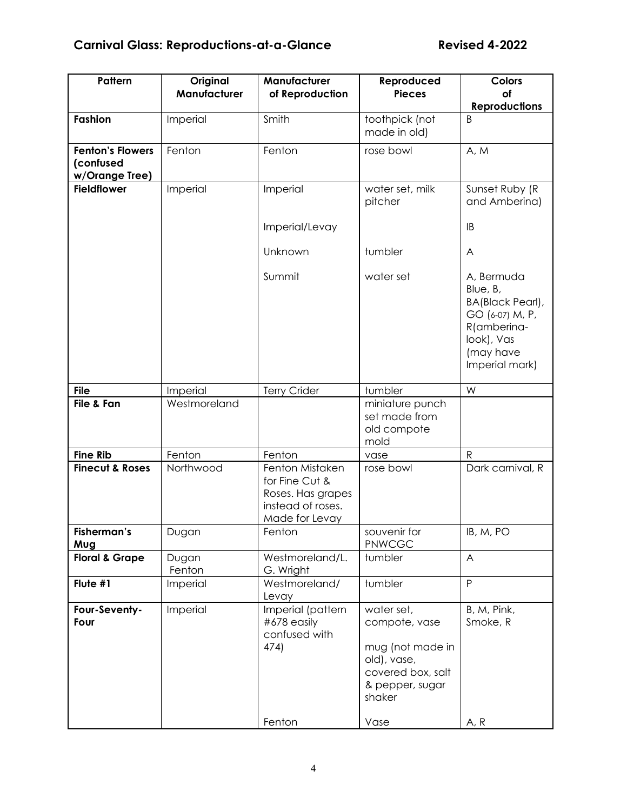| Pattern                                                | Original<br>Manufacturer | Manufacturer<br>of Reproduction                                                               | Reproduced<br><b>Pieces</b>                                                                                      | <b>Colors</b><br>of<br><b>Reproductions</b>                                                                               |
|--------------------------------------------------------|--------------------------|-----------------------------------------------------------------------------------------------|------------------------------------------------------------------------------------------------------------------|---------------------------------------------------------------------------------------------------------------------------|
| Fashion                                                | Imperial                 | Smith                                                                                         | toothpick (not<br>made in old)                                                                                   | B                                                                                                                         |
| <b>Fenton's Flowers</b><br>(confused<br>w/Orange Tree) | Fenton                   | Fenton                                                                                        | rose bowl                                                                                                        | A, M                                                                                                                      |
| <b>Fieldflower</b>                                     | Imperial                 | Imperial                                                                                      | water set, milk<br>pitcher                                                                                       | Sunset Ruby (R<br>and Amberina)                                                                                           |
|                                                        |                          | Imperial/Levay                                                                                |                                                                                                                  | IB                                                                                                                        |
|                                                        |                          | Unknown                                                                                       | tumbler                                                                                                          | A                                                                                                                         |
|                                                        |                          | Summit                                                                                        | water set                                                                                                        | A, Bermuda<br>Blue, B,<br>BA(Black Pearl),<br>GO (6-07) M, P,<br>R(amberina-<br>look), Vas<br>(may have<br>Imperial mark) |
| <b>File</b>                                            | Imperial                 | <b>Terry Crider</b>                                                                           | tumbler                                                                                                          | W                                                                                                                         |
| File & Fan                                             | Westmoreland             |                                                                                               | miniature punch<br>set made from<br>old compote<br>mold                                                          |                                                                                                                           |
| <b>Fine Rib</b>                                        | Fenton                   | Fenton                                                                                        | vase                                                                                                             | $\mathsf{R}$                                                                                                              |
| <b>Finecut &amp; Roses</b>                             | Northwood                | Fenton Mistaken<br>for Fine Cut &<br>Roses. Has grapes<br>instead of roses.<br>Made for Levay | rose bowl                                                                                                        | Dark carnival, R                                                                                                          |
| Fisherman's<br>Mug                                     | Dugan                    | Fenton                                                                                        | souvenir for<br>PNWCGC                                                                                           | IB, M, PO                                                                                                                 |
| <b>Floral &amp; Grape</b>                              | Dugan<br>Fenton          | Westmoreland/L.<br>G. Wright                                                                  | tumbler                                                                                                          | $\overline{A}$                                                                                                            |
| Flute #1                                               | Imperial                 | Westmoreland/<br>Levay                                                                        | tumbler                                                                                                          | P                                                                                                                         |
| Four-Seventy-<br>Four                                  | Imperial                 | Imperial (pattern<br>#678 easily<br>confused with<br>474)                                     | water set,<br>compote, vase<br>mug (not made in<br>old), vase,<br>covered box, salt<br>& pepper, sugar<br>shaker | B, M, Pink,<br>Smoke, R                                                                                                   |
|                                                        |                          | Fenton                                                                                        | Vase                                                                                                             | A, R                                                                                                                      |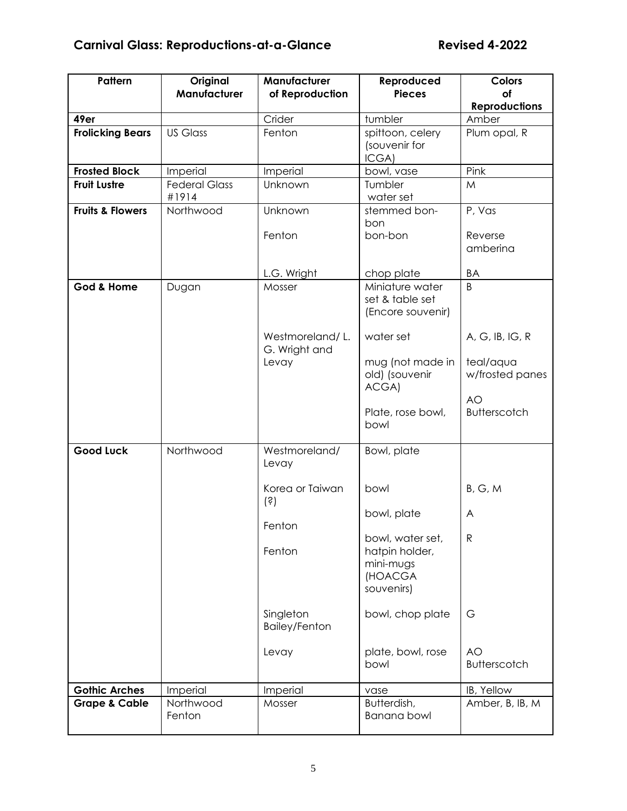| Pattern                     | Original<br>Manufacturer      | Manufacturer<br>of Reproduction                      | Reproduced<br><b>Pieces</b>                                              | <b>Colors</b><br>of                                 |
|-----------------------------|-------------------------------|------------------------------------------------------|--------------------------------------------------------------------------|-----------------------------------------------------|
|                             |                               |                                                      |                                                                          | <b>Reproductions</b>                                |
| 49er                        |                               | Crider                                               | tumbler                                                                  | Amber                                               |
| <b>Frolicking Bears</b>     | <b>US Glass</b>               | Fenton                                               | spittoon, celery<br>(souvenir for<br>ICGA)                               | Plum opal, R                                        |
| <b>Frosted Block</b>        | Imperial                      | Imperial                                             | bowl, vase                                                               | Pink                                                |
| <b>Fruit Lustre</b>         | <b>Federal Glass</b><br>#1914 | Unknown                                              | Tumbler<br>water set                                                     | M                                                   |
| <b>Fruits &amp; Flowers</b> | Northwood                     | Unknown<br>Fenton                                    | stemmed bon-<br>bon<br>bon-bon                                           | P, Vas<br>Reverse<br>amberina                       |
|                             |                               | L.G. Wright                                          | chop plate                                                               | BA                                                  |
| God & Home                  | Dugan                         | Mosser                                               | Miniature water<br>set & table set<br>(Encore souvenir)                  | B                                                   |
|                             |                               | Westmoreland/L.<br>G. Wright and<br>Levay            | water set<br>mug (not made in                                            | A, G, IB, IG, R<br>teal/aqua                        |
|                             |                               |                                                      | old) (souvenir<br>ACGA)<br>Plate, rose bowl,<br>bowl                     | w/frosted panes<br><b>AO</b><br><b>Butterscotch</b> |
| <b>Good Luck</b>            | Northwood                     | Westmoreland/<br>Levay                               | Bowl, plate                                                              |                                                     |
|                             |                               | Korea or Taiwan<br>$\left( \dot{\mathbf{s}} \right)$ | bowl                                                                     | B, G, M                                             |
|                             |                               | Fenton                                               | bowl, plate                                                              | A                                                   |
|                             |                               | Fenton                                               | bowl, water set,<br>hatpin holder,<br>mini-mugs<br>(HOACGA<br>souvenirs) | $\mathsf{R}$                                        |
|                             |                               | Singleton<br><b>Bailey/Fenton</b>                    | bowl, chop plate                                                         | G                                                   |
|                             |                               | Levay                                                | plate, bowl, rose<br>bowl                                                | AO<br><b>Butterscotch</b>                           |
| <b>Gothic Arches</b>        | Imperial                      | Imperial                                             | vase                                                                     | IB, Yellow                                          |
| <b>Grape &amp; Cable</b>    | Northwood<br>Fenton           | Mosser                                               | Butterdish,<br><b>Banana bowl</b>                                        | Amber, B, IB, M                                     |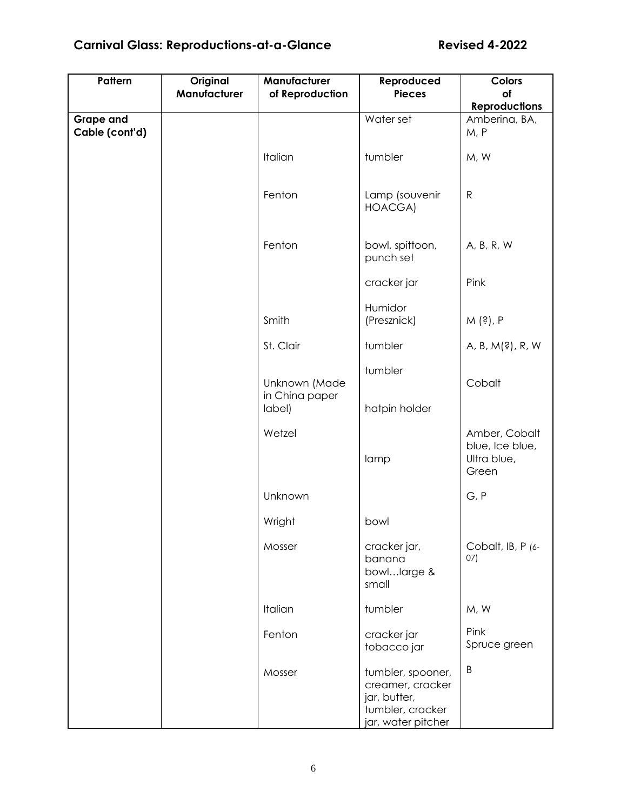# **Carnival Glass: Reproductions-at-a-Glance Revised 4-2022**

| Pattern                            | Original<br>Manufacturer | Manufacturer<br>of Reproduction | Reproduced<br><b>Pieces</b>                                                                     | <b>Colors</b><br>of                                      |
|------------------------------------|--------------------------|---------------------------------|-------------------------------------------------------------------------------------------------|----------------------------------------------------------|
|                                    |                          |                                 |                                                                                                 | <b>Reproductions</b>                                     |
| <b>Grape and</b><br>Cable (cont'd) |                          |                                 | Water set                                                                                       | Amberina, BA,<br>M, P                                    |
|                                    |                          | Italian                         | tumbler                                                                                         | M, W                                                     |
|                                    |                          | Fenton                          | Lamp (souvenir<br>HOACGA)                                                                       | $\mathsf{R}$                                             |
|                                    |                          | Fenton                          | bowl, spittoon,<br>punch set                                                                    | A, B, R, W                                               |
|                                    |                          |                                 | cracker jar                                                                                     | Pink                                                     |
|                                    |                          | Smith                           | Humidor<br>(Presznick)                                                                          | M (?), P                                                 |
|                                    |                          | St. Clair                       | tumbler                                                                                         | A, B, M(?), R, W                                         |
|                                    |                          | Unknown (Made                   | tumbler                                                                                         | Cobalt                                                   |
|                                    |                          | in China paper<br>label)        | hatpin holder                                                                                   |                                                          |
|                                    |                          | Wetzel                          | lamp                                                                                            | Amber, Cobalt<br>blue, Ice blue,<br>Ultra blue,<br>Green |
|                                    |                          | Unknown                         |                                                                                                 | G, P                                                     |
|                                    |                          | Wright                          | bowl                                                                                            |                                                          |
|                                    |                          | Mosser                          | cracker jar,<br>banana<br>bowllarge &<br>small                                                  | Cobalt, IB, P (6-<br>07)                                 |
|                                    |                          | Italian                         | tumbler                                                                                         | M, W                                                     |
|                                    |                          | Fenton                          | cracker jar<br>tobacco jar                                                                      | Pink<br>Spruce green                                     |
|                                    |                          | Mosser                          | tumbler, spooner,<br>creamer, cracker<br>jar, butter,<br>tumbler, cracker<br>jar, water pitcher | B                                                        |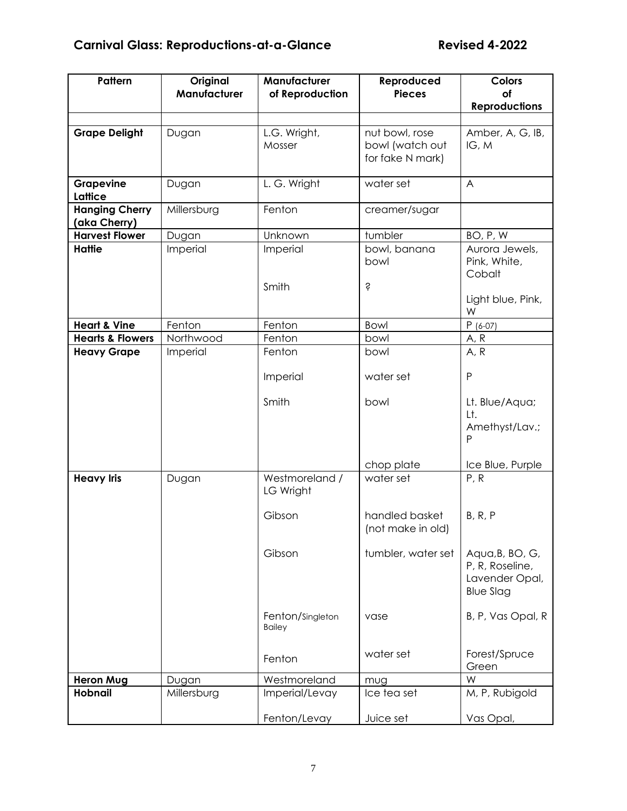| Pattern                               | Original<br>Manufacturer | Manufacturer<br>of Reproduction   | Reproduced<br><b>Pieces</b>         | <b>Colors</b><br>of                                                      |
|---------------------------------------|--------------------------|-----------------------------------|-------------------------------------|--------------------------------------------------------------------------|
|                                       |                          |                                   |                                     | <b>Reproductions</b>                                                     |
| <b>Grape Delight</b>                  | Dugan                    | L.G. Wright,                      | nut bowl, rose                      | Amber, A, G, IB,                                                         |
|                                       |                          | Mosser                            | bowl (watch out<br>for fake N mark) | IG, M                                                                    |
| Grapevine<br>Lattice                  | Dugan                    | L. G. Wright                      | water set                           | $\overline{A}$                                                           |
| <b>Hanging Cherry</b><br>(aka Cherry) | Millersburg              | Fenton                            | creamer/sugar                       |                                                                          |
| <b>Harvest Flower</b>                 | Dugan                    | Unknown                           | tumbler                             | BO, P, W                                                                 |
| <b>Hattie</b>                         | Imperial                 | Imperial                          | bowl, banana<br>bowl                | Aurora Jewels,<br>Pink, White,<br>Cobalt                                 |
|                                       |                          | Smith                             | Ŝ                                   | Light blue, Pink,<br>W                                                   |
| <b>Heart &amp; Vine</b>               | Fenton                   | Fenton                            | Bowl                                | $P(6-07)$                                                                |
| <b>Hearts &amp; Flowers</b>           | Northwood                | Fenton                            | bowl                                | A, R                                                                     |
| <b>Heavy Grape</b>                    | Imperial                 | Fenton                            | bowl                                | A, R                                                                     |
|                                       |                          | Imperial                          | water set                           | P                                                                        |
|                                       |                          | Smith                             | bowl                                | Lt. Blue/Aqua;<br>Lt.<br>Amethyst/Lav.;<br>P                             |
|                                       |                          |                                   | chop plate                          | Ice Blue, Purple                                                         |
| <b>Heavy Iris</b>                     | Dugan                    | Westmoreland /<br>LG Wright       | water set                           | P, R                                                                     |
|                                       |                          | Gibson                            | handled basket<br>(not make in old) | B, R, P                                                                  |
|                                       |                          | Gibson                            | tumbler, water set                  | Aqua, B, BO, G,<br>P, R, Roseline,<br>Lavender Opal,<br><b>Blue Slag</b> |
|                                       |                          | Fenton/Singleton<br><b>Bailey</b> | vase                                | B, P, Vas Opal, R                                                        |
|                                       |                          | Fenton                            | water set                           | Forest/Spruce<br>Green                                                   |
| <b>Heron Mug</b>                      | Dugan                    | Westmoreland                      | mug                                 | W                                                                        |
| <b>Hobnail</b>                        | Millersburg              | Imperial/Levay                    | Ice tea set                         | M, P, Rubigold                                                           |
|                                       |                          | Fenton/Levay                      | Juice set                           | Vas Opal,                                                                |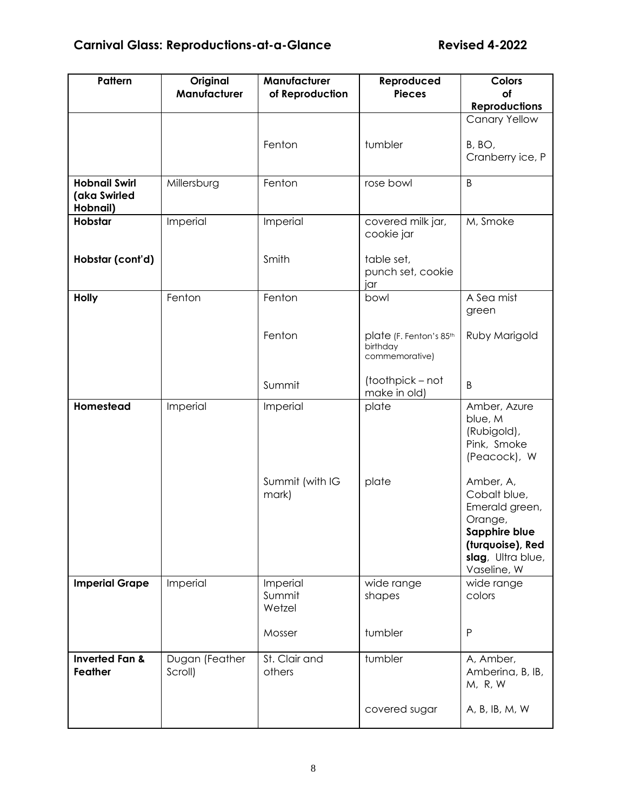| Pattern                                          | Original<br>Manufacturer  | Manufacturer<br>of Reproduction | Reproduced<br><b>Pieces</b>                           | <b>Colors</b><br>οf                                                                                                             |
|--------------------------------------------------|---------------------------|---------------------------------|-------------------------------------------------------|---------------------------------------------------------------------------------------------------------------------------------|
|                                                  |                           |                                 |                                                       | <b>Reproductions</b>                                                                                                            |
|                                                  |                           |                                 |                                                       | <b>Canary Yellow</b>                                                                                                            |
|                                                  |                           | Fenton                          | tumbler                                               | B, BO,<br>Cranberry ice, P                                                                                                      |
| <b>Hobnail Swirl</b><br>(aka Swirled<br>Hobnail) | Millersburg               | Fenton                          | rose bowl                                             | B                                                                                                                               |
| Hobstar                                          | Imperial                  | Imperial                        | covered milk jar,<br>cookie jar                       | M, Smoke                                                                                                                        |
| Hobstar (cont'd)                                 |                           | Smith                           | table set,<br>punch set, cookie<br>jar                |                                                                                                                                 |
| <b>Holly</b>                                     | Fenton                    | Fenton                          | bowl                                                  | A Sea mist<br>green                                                                                                             |
|                                                  |                           | Fenton                          | plate (F. Fenton's 85th<br>birthday<br>commemorative) | Ruby Marigold                                                                                                                   |
|                                                  |                           | Summit                          | (toothpick – not<br>make in old)                      | B                                                                                                                               |
| Homestead                                        | Imperial                  | Imperial                        | plate                                                 | Amber, Azure<br>blue, M<br>(Rubigold),<br>Pink, Smoke<br>(Peacock), W                                                           |
|                                                  |                           | Summit (with IG<br>mark)        | plate                                                 | Amber, A,<br>Cobalt blue,<br>Emerald green,<br>Orange,<br>Sapphire blue<br>(turquoise), Red<br>slag, Ultra blue,<br>Vaseline, W |
| <b>Imperial Grape</b>                            | Imperial                  | Imperial<br>Summit<br>Wetzel    | wide range<br>shapes                                  | wide range<br>colors                                                                                                            |
|                                                  |                           | Mosser                          | tumbler                                               | P                                                                                                                               |
| <b>Inverted Fan &amp;</b><br><b>Feather</b>      | Dugan (Feather<br>Scroll) | St. Clair and<br>others         | tumbler                                               | A, Amber,<br>Amberina, B, IB,<br>M, R, W                                                                                        |
|                                                  |                           |                                 | covered sugar                                         | A, B, IB, M, W                                                                                                                  |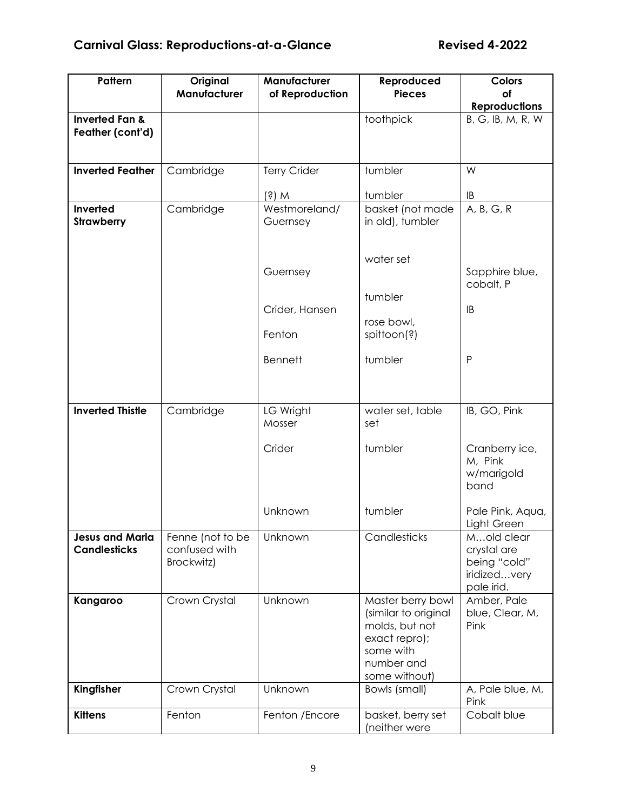| Pattern                                       | Original<br>Manufacturer                        | Manufacturer<br>of Reproduction | Reproduced<br><b>Pieces</b>                                                                                              | <b>Colors</b><br>of                                                     |
|-----------------------------------------------|-------------------------------------------------|---------------------------------|--------------------------------------------------------------------------------------------------------------------------|-------------------------------------------------------------------------|
|                                               |                                                 |                                 |                                                                                                                          | <b>Reproductions</b>                                                    |
| <b>Inverted Fan &amp;</b><br>Feather (cont'd) |                                                 |                                 | toothpick                                                                                                                | B, G, IB, M, R, W                                                       |
| <b>Inverted Feather</b>                       | Cambridge                                       | <b>Terry Crider</b>             | tumbler                                                                                                                  | W                                                                       |
|                                               |                                                 | $(s)$ M                         | tumbler                                                                                                                  | IB                                                                      |
| Inverted<br><b>Strawberry</b>                 | Cambridge                                       | Westmoreland/<br>Guernsey       | basket (not made<br>in old), tumbler                                                                                     | A, B, G, R                                                              |
|                                               |                                                 | Guernsey                        | water set<br>tumbler                                                                                                     | Sapphire blue,<br>cobalt, P                                             |
|                                               |                                                 | Crider, Hansen<br>Fenton        | rose bowl,<br>spittoon(?)                                                                                                | IB                                                                      |
|                                               |                                                 | <b>Bennett</b>                  | tumbler                                                                                                                  | P                                                                       |
| <b>Inverted Thistle</b>                       | Cambridge                                       | LG Wright<br>Mosser             | water set, table<br>set                                                                                                  | IB, GO, Pink                                                            |
|                                               |                                                 | Crider                          | tumbler                                                                                                                  | Cranberry ice,<br>M, Pink<br>w/marigold<br>band                         |
|                                               |                                                 | Unknown                         | tumbler                                                                                                                  | Pale Pink, Aqua,<br>Light Green                                         |
| <b>Jesus and Maria</b><br><b>Candlesticks</b> | Fenne (not to be<br>confused with<br>Brockwitz) | Unknown                         | Candlesticks                                                                                                             | Mold clear<br>crystal are<br>being "cold"<br>iridizedvery<br>pale irid. |
| Kangaroo                                      | Crown Crystal                                   | Unknown                         | Master berry bowl<br>(similar to original<br>molds, but not<br>exact repro);<br>some with<br>number and<br>some without) | Amber, Pale<br>blue, Clear, M,<br>Pink                                  |
| Kingfisher                                    | Crown Crystal                                   | Unknown                         | Bowls (small)                                                                                                            | A, Pale blue, M,<br>Pink                                                |
| <b>Kittens</b>                                | Fenton                                          | Fenton /Encore                  | basket, berry set<br>(neither were                                                                                       | Cobalt blue                                                             |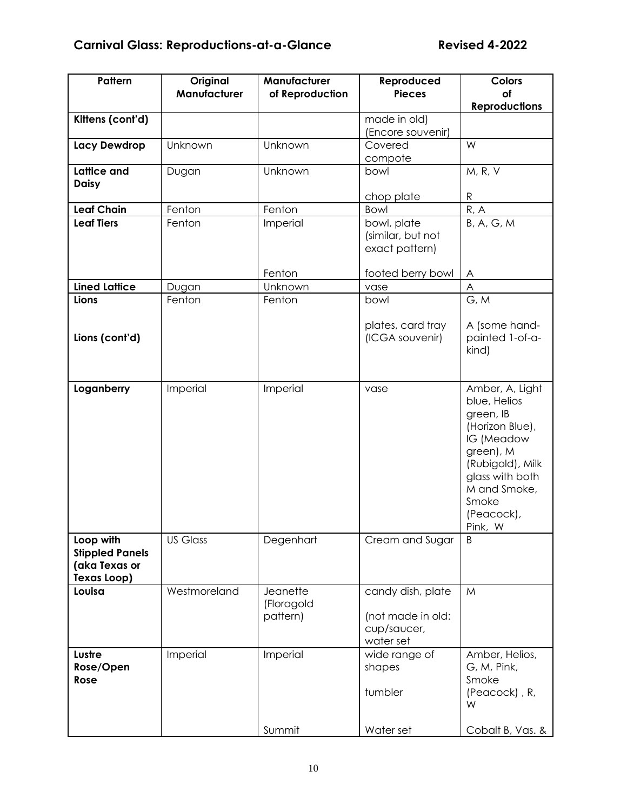| Pattern                                                                    | Original<br>Manufacturer | Manufacturer<br>of Reproduction    | Reproduced<br><b>Pieces</b>                                        | Colors<br>οf                                                                                                                                                                        |
|----------------------------------------------------------------------------|--------------------------|------------------------------------|--------------------------------------------------------------------|-------------------------------------------------------------------------------------------------------------------------------------------------------------------------------------|
|                                                                            |                          |                                    |                                                                    | <b>Reproductions</b>                                                                                                                                                                |
| Kittens (cont'd)                                                           |                          |                                    | made in old)<br>(Encore souvenir)                                  |                                                                                                                                                                                     |
| <b>Lacy Dewdrop</b>                                                        | Unknown                  | Unknown                            | Covered<br>compote                                                 | W                                                                                                                                                                                   |
| <b>Lattice and</b>                                                         | Dugan                    | Unknown                            | bowl                                                               | M, R, V                                                                                                                                                                             |
| <b>Daisy</b>                                                               |                          |                                    | chop plate                                                         | $\mathsf{R}$                                                                                                                                                                        |
| <b>Leaf Chain</b>                                                          | Fenton                   | Fenton                             | Bowl                                                               | R, A                                                                                                                                                                                |
| <b>Leaf Tiers</b>                                                          | Fenton                   | Imperial                           | bowl, plate<br>(similar, but not<br>exact pattern)                 | B, A, G, M                                                                                                                                                                          |
|                                                                            |                          | Fenton                             | footed berry bowl                                                  | A                                                                                                                                                                                   |
| <b>Lined Lattice</b>                                                       | Dugan                    | Unknown                            | vase                                                               | A                                                                                                                                                                                   |
| Lions                                                                      | Fenton                   | Fenton                             | bowl                                                               | G, M                                                                                                                                                                                |
| Lions (cont'd)                                                             |                          |                                    | plates, card tray<br>(ICGA souvenir)                               | A (some hand-<br>painted 1-of-a-<br>kind)                                                                                                                                           |
| Loganberry                                                                 | Imperial                 | Imperial                           | vase                                                               | Amber, A, Light<br>blue, Helios<br>green, IB<br>(Horizon Blue),<br>IG (Meadow<br>green), M<br>(Rubigold), Milk<br>glass with both<br>M and Smoke,<br>Smoke<br>(Peacock),<br>Pink, W |
| Loop with<br><b>Stippled Panels</b><br>(aka Texas or<br><b>Texas Loop)</b> | <b>US Glass</b>          | Degenhart                          | Cream and Sugar                                                    | B                                                                                                                                                                                   |
| Louisa                                                                     | Westmoreland             | Jeanette<br>(Floragold<br>pattern) | candy dish, plate<br>(not made in old:<br>cup/saucer,<br>water set | M                                                                                                                                                                                   |
| Lustre<br>Rose/Open<br>Rose                                                | Imperial                 | Imperial<br>Summit                 | wide range of<br>shapes<br>tumbler<br>Water set                    | Amber, Helios,<br>G, M, Pink,<br>Smoke<br>(Peacock), R,<br>W<br>Cobalt B, Vas. &                                                                                                    |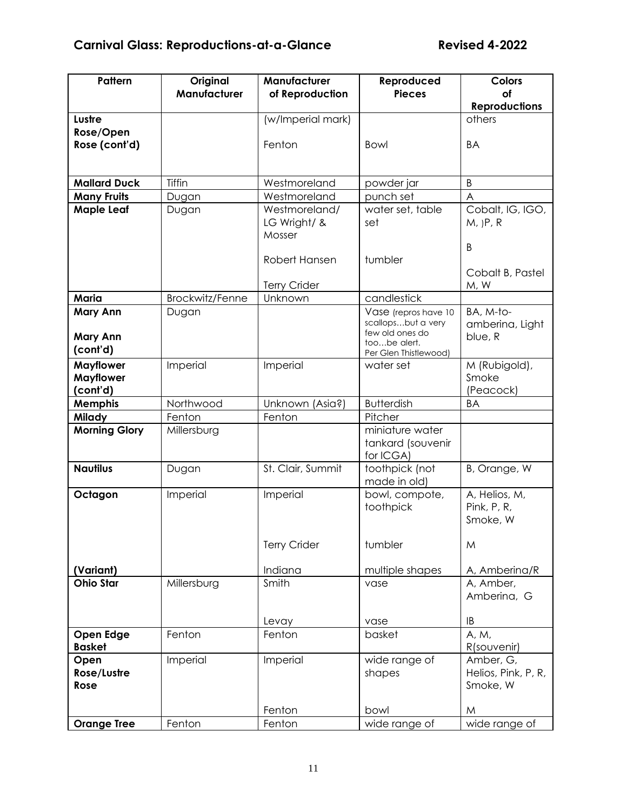| Pattern                                 | Original        | Manufacturer                  | Reproduced                                 | <b>Colors</b>                |
|-----------------------------------------|-----------------|-------------------------------|--------------------------------------------|------------------------------|
|                                         | Manufacturer    | of Reproduction               | <b>Pieces</b>                              | of<br><b>Reproductions</b>   |
| Lustre                                  |                 | (w/Imperial mark)             |                                            | others                       |
| Rose/Open                               |                 |                               |                                            |                              |
| Rose (cont'd)                           |                 | Fenton                        | <b>Bowl</b>                                | BA                           |
|                                         |                 |                               |                                            |                              |
|                                         |                 |                               |                                            |                              |
| <b>Mallard Duck</b>                     | Tiffin          | Westmoreland                  | powder jar                                 | $\sf B$                      |
| <b>Many Fruits</b><br><b>Maple Leaf</b> | Dugan<br>Dugan  | Westmoreland<br>Westmoreland/ | punch set<br>water set, table              | A<br>Cobalt, IG, IGO,        |
|                                         |                 | LG Wright/ &                  | set                                        | $M,$ $P, R$                  |
|                                         |                 | Mosser                        |                                            |                              |
|                                         |                 |                               |                                            | B                            |
|                                         |                 | Robert Hansen                 | tumbler                                    |                              |
|                                         |                 |                               |                                            | Cobalt B, Pastel             |
|                                         |                 | <b>Terry Crider</b>           |                                            | M, W                         |
| Maria                                   | Brockwitz/Fenne | Unknown                       | candlestick                                |                              |
| <b>Mary Ann</b>                         | Dugan           |                               | Vase (repros have 10<br>scallopsbut a very | BA, M-to-<br>amberina, Light |
| <b>Mary Ann</b>                         |                 |                               | few old ones do                            | blue, R                      |
| (cont'd)                                |                 |                               | toobe alert.<br>Per Glen Thistlewood)      |                              |
| <b>Mayflower</b>                        | Imperial        | Imperial                      | water set                                  | M (Rubigold),                |
| <b>Mayflower</b>                        |                 |                               |                                            | Smoke                        |
| (cont'd)                                |                 |                               |                                            | (Peacock)                    |
| <b>Memphis</b>                          | Northwood       | Unknown (Asia?)               | <b>Butterdish</b>                          | BA                           |
| <b>Milady</b>                           | Fenton          | Fenton                        | Pitcher                                    |                              |
| <b>Morning Glory</b>                    | Millersburg     |                               | miniature water                            |                              |
|                                         |                 |                               | tankard (souvenir<br>for ICGA)             |                              |
| <b>Nautilus</b>                         | Dugan           | St. Clair, Summit             | toothpick (not                             | B, Orange, W                 |
|                                         |                 |                               | made in old)                               |                              |
| Octagon                                 | Imperial        | Imperial                      | bowl, compote,                             | A, Helios, M,                |
|                                         |                 |                               | toothpick                                  | Pink, P, R,                  |
|                                         |                 |                               |                                            | Smoke, W                     |
|                                         |                 | <b>Terry Crider</b>           | tumbler                                    | M                            |
|                                         |                 |                               |                                            |                              |
| (Variant)                               |                 | Indiana                       | multiple shapes                            | A, Amberina/R                |
| <b>Ohio Star</b>                        | Millersburg     | Smith                         | vase                                       | A, Amber,                    |
|                                         |                 |                               |                                            | Amberina, G                  |
|                                         |                 |                               |                                            |                              |
| Open Edge                               | Fenton          | Levay<br>Fenton               | vase<br>basket                             | IB<br>A, M,                  |
| <b>Basket</b>                           |                 |                               |                                            | R(souvenir)                  |
| Open                                    | Imperial        | Imperial                      | wide range of                              | Amber, G,                    |
| Rose/Lustre                             |                 |                               | shapes                                     | Helios, Pink, P, R,          |
| Rose                                    |                 |                               |                                            | Smoke, W                     |
|                                         |                 |                               |                                            |                              |
|                                         |                 | Fenton                        | bowl                                       | M                            |
| <b>Orange Tree</b>                      | Fenton          | Fenton                        | wide range of                              | wide range of                |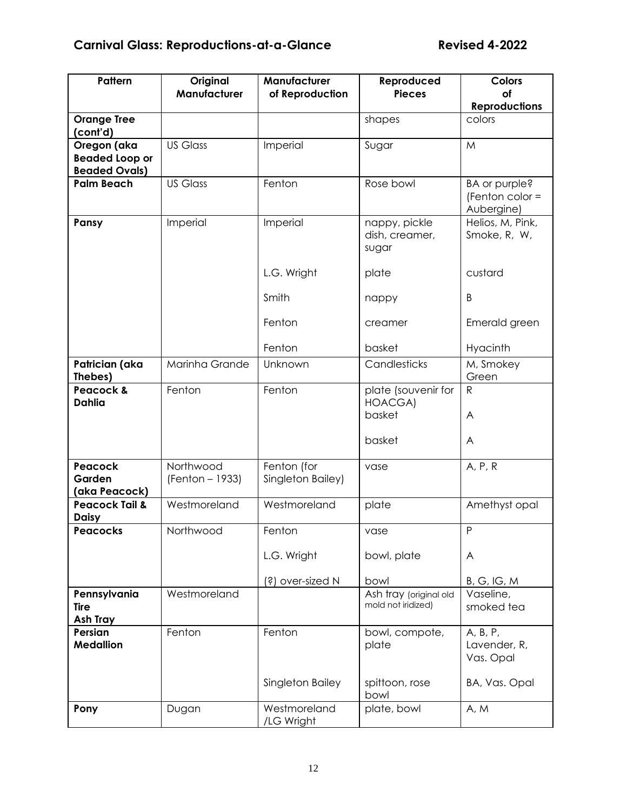| Pattern                              | Original<br>Manufacturer | Manufacturer               | Reproduced<br><b>Pieces</b>                  | <b>Colors</b><br>of                            |
|--------------------------------------|--------------------------|----------------------------|----------------------------------------------|------------------------------------------------|
|                                      |                          | of Reproduction            |                                              | <b>Reproductions</b>                           |
| <b>Orange Tree</b>                   |                          |                            | shapes                                       | colors                                         |
| (cont'd)                             | <b>US Glass</b>          |                            |                                              |                                                |
| Oregon (aka<br><b>Beaded Loop or</b> |                          | Imperial                   | Sugar                                        | M                                              |
| <b>Beaded Ovals)</b>                 |                          |                            |                                              |                                                |
| <b>Palm Beach</b>                    | <b>US Glass</b>          | Fenton                     | Rose bowl                                    | BA or purple?<br>(Fenton color =<br>Aubergine) |
| Pansy                                | Imperial                 | Imperial                   | nappy, pickle<br>dish, creamer,<br>sugar     | Helios, M, Pink,<br>Smoke, R, W,               |
|                                      |                          | L.G. Wright                | plate                                        | custard                                        |
|                                      |                          | Smith                      | nappy                                        | B                                              |
|                                      |                          | Fenton                     | creamer                                      | Emerald green                                  |
|                                      |                          | Fenton                     | basket                                       | Hyacinth                                       |
| Patrician (aka<br>Thebes)            | Marinha Grande           | Unknown                    | Candlesticks                                 | M, Smokey<br>Green                             |
| Peacock &<br><b>Dahlia</b>           | Fenton                   | Fenton                     | plate (souvenir for<br><b>HOACGA)</b>        | $\mathsf{R}$                                   |
|                                      |                          |                            | basket                                       | A                                              |
|                                      |                          |                            | basket                                       | A                                              |
| Peacock                              | Northwood                | Fenton (for                | vase                                         | A, P, R                                        |
| Garden<br>(aka Peacock)              | (Fenton - 1933)          | Singleton Bailey)          |                                              |                                                |
| <b>Peacock Tail &amp;</b>            | Westmoreland             | Westmoreland               | plate                                        | Amethyst opal                                  |
| <b>Daisy</b>                         |                          |                            |                                              |                                                |
| <b>Peacocks</b>                      | Northwood                | Fenton                     | vase                                         | $\sf P$                                        |
|                                      |                          | L.G. Wright                | bowl, plate                                  | A                                              |
|                                      |                          | (?) over-sized N           | bowl                                         | B, G, IG, M                                    |
| Pennsylvania<br>Tire<br>Ash Tray     | Westmoreland             |                            | Ash tray (original old<br>mold not iridized) | Vaseline,<br>smoked tea                        |
| Persian<br><b>Medallion</b>          | Fenton                   | Fenton                     | bowl, compote,<br>plate                      | A, B, P,<br>Lavender, R,<br>Vas. Opal          |
|                                      |                          | Singleton Bailey           | spittoon, rose<br>bowl                       | BA, Vas. Opal                                  |
| Pony                                 | Dugan                    | Westmoreland<br>/LG Wright | plate, bowl                                  | A, M                                           |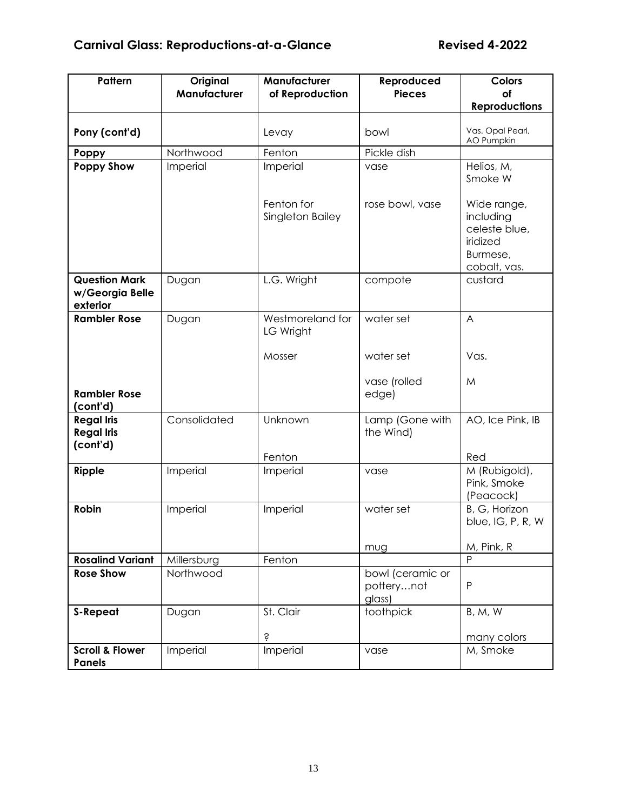| Pattern                                             | Original<br>Manufacturer | Manufacturer<br>of Reproduction | Reproduced<br><b>Pieces</b>              | Colors<br>of                                                                      |  |
|-----------------------------------------------------|--------------------------|---------------------------------|------------------------------------------|-----------------------------------------------------------------------------------|--|
|                                                     |                          |                                 |                                          | <b>Reproductions</b>                                                              |  |
| Pony (cont'd)                                       |                          | Levay                           | bowl                                     | Vas. Opal Pearl,<br>AO Pumpkin                                                    |  |
| Poppy                                               | Northwood                | Fenton                          | Pickle dish                              |                                                                                   |  |
| <b>Poppy Show</b>                                   | Imperial                 | Imperial                        | vase                                     | Helios, M,<br>Smoke W                                                             |  |
|                                                     |                          | Fenton for<br>Singleton Bailey  | rose bowl, vase                          | Wide range,<br>including<br>celeste blue,<br>iridized<br>Burmese,<br>cobalt, vas. |  |
| <b>Question Mark</b><br>w/Georgia Belle<br>exterior | Dugan                    | L.G. Wright                     | compote                                  | custard                                                                           |  |
| <b>Rambler Rose</b>                                 | Dugan                    | Westmoreland for<br>LG Wright   | water set                                | A                                                                                 |  |
|                                                     |                          | Mosser                          | water set                                | Vas.                                                                              |  |
| <b>Rambler Rose</b><br>(cont'd)                     |                          |                                 | vase (rolled<br>edge)                    | M                                                                                 |  |
| <b>Regal Iris</b><br><b>Regal Iris</b><br>(cont'd)  | Consolidated             | Unknown                         | Lamp (Gone with<br>the Wind)             | AO, Ice Pink, IB                                                                  |  |
|                                                     |                          | Fenton                          |                                          | Red                                                                               |  |
| Ripple                                              | Imperial                 | Imperial                        | vase                                     | M (Rubigold),<br>Pink, Smoke<br>(Peacock)                                         |  |
| Robin                                               | Imperial                 | Imperial                        | water set                                | B, G, Horizon<br>blue, IG, P, R, W                                                |  |
|                                                     |                          |                                 | mug                                      | M, Pink, R                                                                        |  |
| <b>Rosalind Variant</b>                             | Millersburg              | Fenton                          |                                          | P                                                                                 |  |
| <b>Rose Show</b>                                    | Northwood                |                                 | bowl (ceramic or<br>potterynot<br>glass) | P                                                                                 |  |
| <b>S-Repeat</b>                                     | Dugan                    | St. Clair                       | toothpick                                | <b>B</b> , M, W                                                                   |  |
|                                                     |                          | Ŝ                               |                                          | many colors                                                                       |  |
| <b>Scroll &amp; Flower</b><br><b>Panels</b>         | Imperial                 | Imperial                        | vase                                     | M, Smoke                                                                          |  |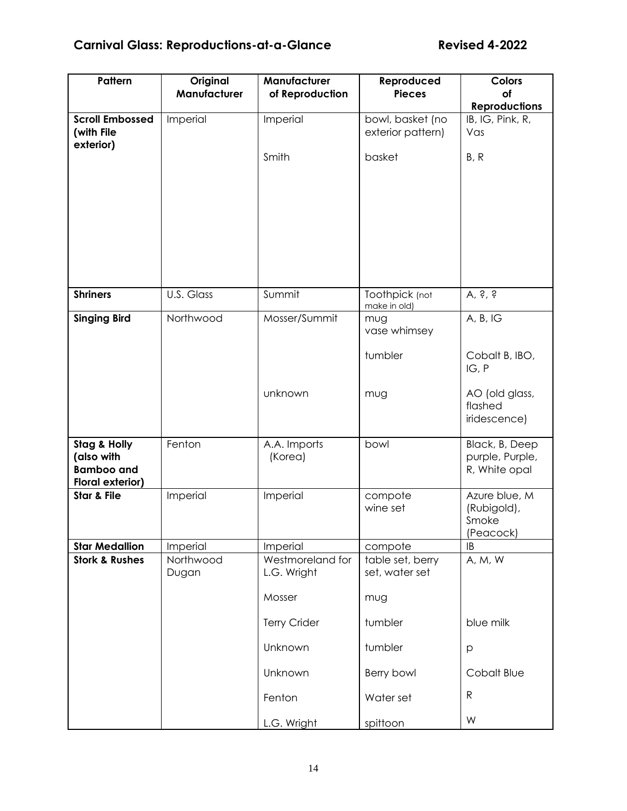# **Carnival Glass: Reproductions-at-a-Glance Revised 4-2022**

| Pattern                                                                               | Original<br>Manufacturer | Manufacturer<br>of Reproduction           | Reproduced<br><b>Pieces</b>               | <b>Colors</b><br>of                                |
|---------------------------------------------------------------------------------------|--------------------------|-------------------------------------------|-------------------------------------------|----------------------------------------------------|
|                                                                                       |                          |                                           |                                           | <b>Reproductions</b>                               |
| <b>Scroll Embossed</b><br>(with File<br>exterior)                                     | Imperial                 | Imperial                                  | bowl, basket (no<br>exterior pattern)     | IB, IG, Pink, R,<br>Vas                            |
|                                                                                       |                          | Smith                                     | basket                                    | B, R                                               |
| <b>Shriners</b>                                                                       | U.S. Glass               | Summit                                    | Toothpick (not                            | $A$ , s s                                          |
|                                                                                       |                          |                                           | make in old)                              |                                                    |
| <b>Singing Bird</b>                                                                   | Northwood                | Mosser/Summit                             | mug<br>vase whimsey                       | A, B, IG                                           |
|                                                                                       |                          |                                           | tumbler                                   | Cobalt B, IBO,<br>IG, P                            |
|                                                                                       |                          | unknown                                   | mug                                       | AO (old glass,<br>flashed<br>iridescence)          |
| <b>Stag &amp; Holly</b><br>(also with<br><b>Bamboo and</b><br><b>Floral exterior)</b> | Fenton                   | A.A. Imports<br>(Korea)                   | bowl                                      | Black, B, Deep<br>purple, Purple,<br>R, White opal |
| <b>Star &amp; File</b>                                                                | Imperial                 | Imperial                                  | compote<br>wine set                       | Azure blue, M<br>(Rubigold),<br>Smoke<br>(Peacock) |
| <b>Star Medallion</b>                                                                 | Imperial                 | Imperial                                  | compote                                   | IB                                                 |
| <b>Stork &amp; Rushes</b>                                                             | Northwood<br>Dugan       | Westmoreland for<br>L.G. Wright<br>Mosser | table set, berry<br>set, water set<br>mug | A, M, W                                            |
|                                                                                       |                          | <b>Terry Crider</b>                       | tumbler                                   | blue milk                                          |
|                                                                                       |                          | Unknown                                   | tumbler                                   | p                                                  |
|                                                                                       |                          | Unknown                                   | Berry bowl                                | Cobalt Blue                                        |
|                                                                                       |                          | Fenton                                    | Water set                                 | $\mathsf{R}$                                       |
|                                                                                       |                          | L.G. Wright                               | spittoon                                  | W                                                  |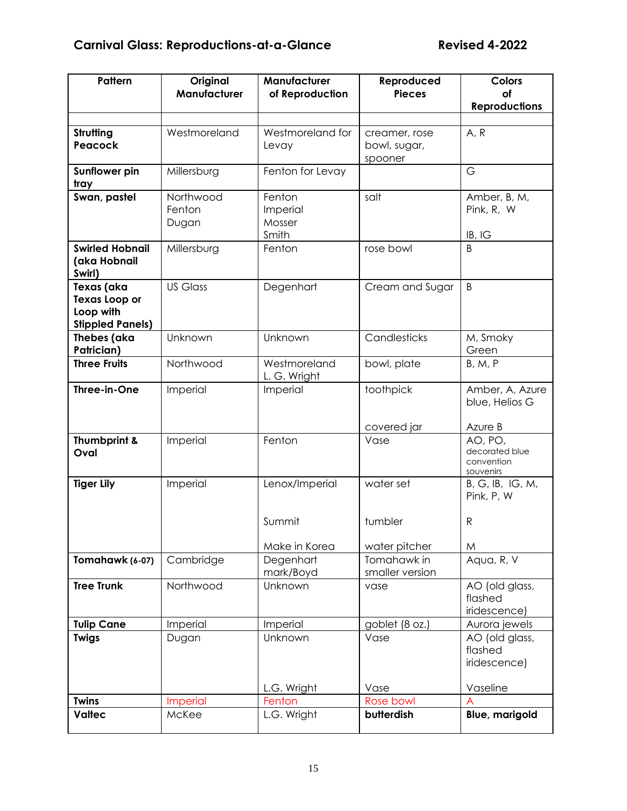| Pattern                                                                    | Original<br>Manufacturer                | Manufacturer<br>of Reproduction       | Reproduced<br><b>Pieces</b>              | <b>Colors</b><br>οf                                             |
|----------------------------------------------------------------------------|-----------------------------------------|---------------------------------------|------------------------------------------|-----------------------------------------------------------------|
|                                                                            |                                         |                                       |                                          | <b>Reproductions</b>                                            |
| Strutting<br>Peacock                                                       | Westmoreland                            | Westmoreland for<br>Levay             | creamer, rose<br>bowl, sugar,<br>spooner | A, R                                                            |
| Sunflower pin<br>tray                                                      | Millersburg                             | Fenton for Levay                      |                                          | G                                                               |
| Swan, pastel                                                               | Northwood<br>Fenton<br>Dugan            | Fenton<br>Imperial<br>Mosser<br>Smith | salt                                     | Amber, B, M,<br>Pink, R, W<br>IB, IG                            |
| <b>Swirled Hobnail</b><br>(aka Hobnail<br>Swirl)                           | Millersburg                             | Fenton                                | rose bowl                                | B                                                               |
| Texas (aka<br><b>Texas Loop or</b><br>Loop with<br><b>Stippled Panels)</b> | <b>US Glass</b>                         | Degenhart                             | Cream and Sugar                          | B                                                               |
| Thebes (aka<br>Patrician)                                                  | Unknown                                 | Unknown                               | Candlesticks                             | M, Smoky<br>Green                                               |
| <b>Three Fruits</b>                                                        | Northwood                               | Westmoreland<br>L. G. Wright          | bowl, plate                              | <b>B, M, P</b>                                                  |
| Three-in-One                                                               | Imperial                                | Imperial                              | toothpick                                | Amber, A, Azure<br>blue, Helios G                               |
| Thumbprint &<br>Oval                                                       | Imperial                                | Fenton                                | covered jar<br>Vase                      | Azure B<br>AO, PO,<br>decorated blue<br>convention<br>souvenirs |
| <b>Tiger Lily</b>                                                          | Lenox/Imperial<br>water set<br>Imperial |                                       |                                          | B, G, IB, IG, M,<br>Pink, P, W                                  |
|                                                                            |                                         | Summit                                | tumbler                                  | $\mathsf{R}$                                                    |
|                                                                            |                                         | Make in Korea                         | water pitcher                            | M                                                               |
| Tomahawk (6-07)                                                            | Cambridge                               | Degenhart<br>mark/Boyd                | Tomahawk in<br>smaller version           | Aqua, R, V                                                      |
| <b>Tree Trunk</b>                                                          | Northwood                               | Unknown                               | vase                                     | AO (old glass,<br>flashed<br>iridescence)                       |
| <b>Tulip Cane</b>                                                          | Imperial                                | Imperial                              | goblet (8 oz.)                           | Aurora jewels                                                   |
| <b>Twigs</b>                                                               | Dugan                                   | Unknown                               | Vase                                     | AO (old glass,<br>flashed<br>iridescence)                       |
|                                                                            |                                         | L.G. Wright                           | Vase                                     | Vaseline                                                        |
| <b>Twins</b>                                                               | <b>Imperial</b>                         | Fenton                                | Rose bowl                                |                                                                 |
| <b>Valtec</b>                                                              | McKee                                   | L.G. Wright                           | butterdish                               | <b>Blue, marigold</b>                                           |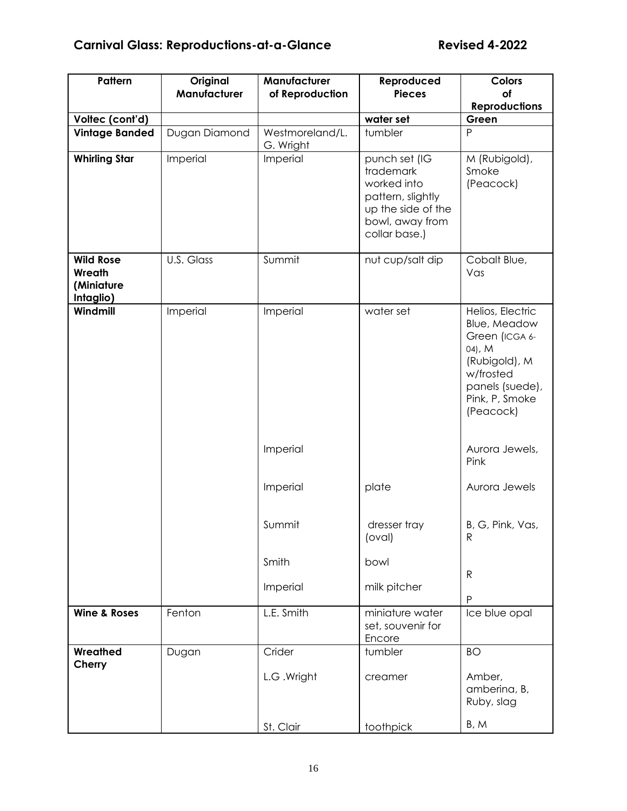| Pattern                                               | Original<br>Manufacturer | Manufacturer<br>of Reproduction                                 | Reproduced<br><b>Pieces</b>                                                                                              | <b>Colors</b><br><b>of</b><br><b>Reproductions</b>                                                                                                                                                                                                            |
|-------------------------------------------------------|--------------------------|-----------------------------------------------------------------|--------------------------------------------------------------------------------------------------------------------------|---------------------------------------------------------------------------------------------------------------------------------------------------------------------------------------------------------------------------------------------------------------|
| Voltec (cont'd)                                       |                          |                                                                 | water set                                                                                                                | Green                                                                                                                                                                                                                                                         |
| <b>Vintage Banded</b>                                 | Dugan Diamond            | Westmoreland/L.<br>G. Wright                                    | tumbler                                                                                                                  | P                                                                                                                                                                                                                                                             |
| <b>Whirling Star</b>                                  | Imperial                 | Imperial                                                        | punch set (IG<br>trademark<br>worked into<br>pattern, slightly<br>up the side of the<br>bowl, away from<br>collar base.) | M (Rubigold),<br>Smoke<br>(Peacock)                                                                                                                                                                                                                           |
| <b>Wild Rose</b><br>Wreath<br>(Miniature<br>Intaglio) | U.S. Glass               | Summit                                                          | nut cup/salt dip                                                                                                         | Cobalt Blue,<br>Vas                                                                                                                                                                                                                                           |
| Windmill                                              | Imperial                 | Imperial<br>Imperial<br>Imperial<br>Summit<br>Smith<br>Imperial | water set<br>plate<br>dresser tray<br>(oval)<br>bowl<br>milk pitcher                                                     | Helios, Electric<br>Blue, Meadow<br>Green (ICGA 6-<br>$04$ , M<br>(Rubigold), M<br>w/frosted<br>panels (suede),<br>Pink, P, Smoke<br>(Peacock)<br>Aurora Jewels,<br>Pink<br>Aurora Jewels<br>B, G, Pink, Vas,<br>$\mathsf{R}$<br>$\mathsf{R}$<br>$\mathsf{P}$ |
| <b>Wine &amp; Roses</b>                               | Fenton                   | L.E. Smith                                                      | miniature water<br>set, souvenir for<br>Encore                                                                           | Ice blue opal                                                                                                                                                                                                                                                 |
| Wreathed<br>Cherry                                    | Dugan                    | Crider<br>L.G. Wright<br>St. Clair                              | tumbler<br>creamer<br>toothpick                                                                                          | <b>BO</b><br>Amber,<br>amberina, B,<br>Ruby, slag<br>B, M                                                                                                                                                                                                     |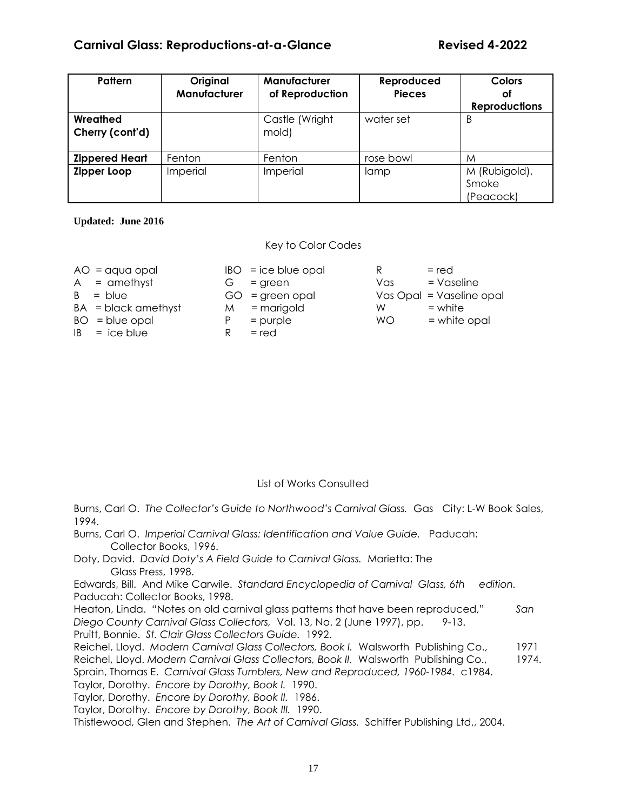| Pattern                     | Original<br>Manufacturer | Manufacturer<br>of Reproduction | Reproduced<br><b>Pieces</b> | <b>Colors</b><br>оf                 |
|-----------------------------|--------------------------|---------------------------------|-----------------------------|-------------------------------------|
|                             |                          |                                 |                             | <b>Reproductions</b>                |
| Wreathed<br>Cherry (cont'd) |                          | Castle (Wright<br>mold)         | water set                   | B                                   |
| <b>Zippered Heart</b>       | Fenton                   | Fenton                          | rose bowl                   | M                                   |
| Zipper Loop                 | Imperial                 | Imperial                        | lamp                        | M (Rubigold),<br>Smoke<br>(Peacock) |

**Updated: June 2016**

#### Key to Color Codes

| $AO = aqua opal$      |    | $IBO = ice$ |
|-----------------------|----|-------------|
| $A =$ amethyst        |    | $G = gre$   |
| $B = blue$            |    | $GO = gre$  |
| $BA = black$ amethyst | M. | = ma        |
| $BO = blue$ opal      | P  | $=$ pur     |
| $IB = ice blue$       | R  | $=$ red     |

| $AO = aqua opal$      |   | $IBO = ice blue opal$ |           | $=$ red                  |
|-----------------------|---|-----------------------|-----------|--------------------------|
| $A =$ amethyst        | G | $=$ green             | Vas       | $=$ Vaseline             |
| $B = blue$            |   | $GO = green opal$     |           | Vas Opal = Vaseline opal |
| $BA = black$ amethyst | M | = marigold            | W         | $=$ white                |
| $BO = blue$ opal      | P | $=$ purple            | <b>WO</b> | = white opal             |
| $IB = ice blue$       | R | $=$ red               |           |                          |
|                       |   |                       |           |                          |
|                       |   |                       |           |                          |

#### List of Works Consulted

Burns, Carl O. *The Collector's Guide to Northwood's Carnival Glass.* Gas City: L-W Book Sales, 1994.

Burns, Carl O. *Imperial Carnival Glass: Identification and Value Guide.* Paducah: Collector Books, 1996.

Doty, David. *David Doty's A Field Guide to Carnival Glass.* Marietta: The Glass Press, 1998.

Edwards, Bill. And Mike Carwile. *Standard Encyclopedia of Carnival Glass, 6th edition.*  Paducah: Collector Books, 1998.

Heaton, Linda. "Notes on old carnival glass patterns that have been reproduced," *San Diego County Carnival Glass Collectors,* Vol. 13, No. 2 (June 1997), pp. 9-13.

Pruitt, Bonnie. *St. Clair Glass Collectors Guide.* 1992.

Reichel, Lloyd. *Modern Carnival Glass Collectors, Book I.* Walsworth Publishing Co., 1971

Reichel, Lloyd. *Modern Carnival Glass Collectors, Book II.* Walsworth Publishing Co., 1974.

Sprain, Thomas E. *Carnival Glass Tumblers, New and Reproduced, 1960-1984.* c1984.

Taylor, Dorothy. *Encore by Dorothy, Book I.* 1990.

Taylor, Dorothy. *Encore by Dorothy, Book II.* 1986.

Taylor, Dorothy. *Encore by Dorothy, Book III.* 1990.

Thistlewood, Glen and Stephen. *The Art of Carnival Glass.* Schiffer Publishing Ltd., 2004.